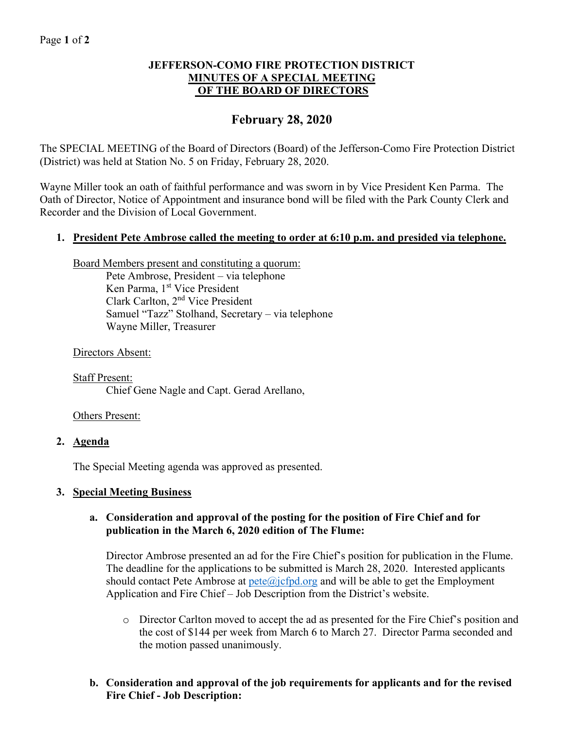## Page **1** of **2**

## **JEFFERSON-COMO FIRE PROTECTION DISTRICT MINUTES OF A SPECIAL MEETING OF THE BOARD OF DIRECTORS**

# **February 28, 2020**

The SPECIAL MEETING of the Board of Directors (Board) of the Jefferson-Como Fire Protection District (District) was held at Station No. 5 on Friday, February 28, 2020.

Wayne Miller took an oath of faithful performance and was sworn in by Vice President Ken Parma. The Oath of Director, Notice of Appointment and insurance bond will be filed with the Park County Clerk and Recorder and the Division of Local Government.

## **1. President Pete Ambrose called the meeting to order at 6:10 p.m. and presided via telephone.**

Board Members present and constituting a quorum:

Pete Ambrose, President – via telephone Ken Parma, 1<sup>st</sup> Vice President Clark Carlton, 2nd Vice President Samuel "Tazz" Stolhand, Secretary – via telephone Wayne Miller, Treasurer

Directors Absent:

Staff Present: Chief Gene Nagle and Capt. Gerad Arellano,

#### Others Present:

#### **2. Agenda**

The Special Meeting agenda was approved as presented.

# **3. Special Meeting Business**

## **a. Consideration and approval of the posting for the position of Fire Chief and for publication in the March 6, 2020 edition of The Flume:**

Director Ambrose presented an ad for the Fire Chief's position for publication in the Flume. The deadline for the applications to be submitted is March 28, 2020. Interested applicants should contact Pete Ambrose at  $pete@ifpd.org$  and will be able to get the Employment Application and Fire Chief – Job Description from the District's website.

- o Director Carlton moved to accept the ad as presented for the Fire Chief's position and the cost of \$144 per week from March 6 to March 27. Director Parma seconded and the motion passed unanimously.
- **b. Consideration and approval of the job requirements for applicants and for the revised Fire Chief - Job Description:**